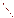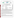

The U.S. Environmental Protection Agency (EPA) has established the Environmental Technology Verification (ETV) Program to facilitate the deployment of innovative or improved environmental technologies through performance verification and dissemination of information. The goal of the ETV Program is to further environmental protection by accelerating the acceptance and use of improved and cost-effective technologies. ETV seeks to achieve this goal by providing high-quality, peer-reviewed data on technology performance to those involved in the design, distribution, financing, permitting, purchase, and use of environmental technologies. Information and ETV documents are available at www.epa.gov/etv.

ETV works in partnership with recognized standards and testing organizations, with stakeholder groups (consisting of buyers, vendor organizations, and permitters), and with individual technology developers. The program evaluates the performance of innovative technologies by developing test plans that are responsive to the needs of stakeholders, conducting field or laboratory tests (as appropriate), collecting and analyzing data, and preparing peer-reviewed reports. All evaluations are conducted in accordance with rigorous quality assurance (QA) protocols to ensure that data of known and adequate quality are generated and that the results are defensible.

## **VERIFICATION TEST DESCRIPTION**

The performance of the Sensicore WaterPOINT 870 (WP870) was assessed in terms of its accuracy, precision, inter-unit reproducibility, field portability, and ease of use. The verification test was coordinated by Battelle and conducted between April and July 2007 at the Columbus, Ohio Division of Power and Water (CDW) laboratories. The verification test consisted of three stages, each designed to evaluate particular performance characteristics.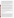Stage 1 consisted of two parts. The first part focused on testing the accuracy and precision of the sensors on water samples prepared in deionized (DI) water with respect to Standard Methods for the Examination of Water and Wastewater laboratory reference methods. The water quality parameters tested included: pH, oxidationreduction potential (ORP), conductivity, free chlorine, monochloramine, free ammonia, calcium hardness, and total alkalinity. Testing was done by preparing test solutions in DI water with water quality measurements that spanned the working range of the sensor. Individual solutions were prepared that simultaneously represented groupings of the water quality parameters. The second part of Stage 1 focused on testing the accuracy and precision of the sensors over the lifetime of the sensors (30 days or 50 water samples) by testing one concentration level, in triplicate twice, once near the start of the sensor's vendor-specified lifetime and once near the end. Between those analysis times, six finished drinking water samples were analyzed to challenge the sensor with more realistic samples between tests with samples prepared in DI water. The second stage of this verification test focused on the performance of the WP870 when analyzing six samples

of finished drinking water (DW), two drinking water samples within the treatment process (IPW), and two samples of untreated surface water (SW). The IPW and SW samples were analyzed by the WP870 at a booster station within the CDW distribution system and then returned to the laboratory for reference analysis. In addition to the field measurements, all 10 samples were analyzed in the laboratory using the WP870. Stage 1 and 2 samples included triplicate analysis on each of two sensors as well as analysis by reference methods in order to study the accuracy and precision of two different sensors installed on separate WP870 handheld units.

The third stage of this verification test evaluated the ease of using the WP870 during a field water quality study with two collaborators. The ETV program collaborated with 1) personnel from EPA National Exposure Research Laboratory (NERL) who conducted a short-term field analysis campaign in southern Ohio during September 2006 and 2) personnel from the Texas Commission on Environmental Quality (TCEQ) who conducted a similar sampling campaign in western Texas in May 2007. These studies were independent from the ETV test, but EPA NERL and TCEQ agreed to take the WP870 with them and perform single analyses at some of the measurement locations included in their studies. No grab samples were transported for reference analysis during this stage of the testing. Therefore, the focus of this part of the test was the evaluation of the practical aspects of using the WP870 under non-laboratory, field analysis conditions.

Inter-unit reproducibility was assessed by comparing the results of two sensors operating simultaneously. Ease of use was documented by Battelle, CDW, EPA, and TCEQ technicians who operated and maintained the units. QA oversight of verification testing was provided by Battelle and EPA. Battelle QA staff conducted a technical systems audit, a performance evaluation audit, and a data quality audit of 10% of the test data.

This verification statement, the full report on which it is based, and the test/QA plan for this verification test are all available at www.epa.gov/etv/centers/center1.html.

## **TECHNOLOGY DESCRIPTION**

The following description of the WP870 unit was provided by the vendor and does not represent verified information.

The WaterPOINT 870 is a lab-on-chip micro sensor array technology that incorporates chemical selective sensors and physical measuring devices on a single silicon chip. This panel of tests is used to chemically profile drinking water (and/or other liquids) in five minutes. This handheld system was designed for both municipal and industrial applications. It employs Sensicore's platform sensor chip with five membrane based ion selective electrodes capable of detecting light metal ions and dissolved gases, two micro amperometric arrays for detecting free chlorine and monochloramine species, and electronic sensors for measuring oxidation reduction potential (ORP), conductivity, and temperature. All of these sensors are incorporated on a single silicon substrate that is 4 millimeters (mm)  $\times$  5 mm in size and conveniently packaged in a semi-disposable unit that also contains its own reference electrode. In all, with the direct measurements and calculated values that can be obtained from the direct measurements, the system reports 16 different results as follows: pH, ORP, conductivity, total dissolved solids, free chlorine, monochloramine, free and total ammonia, chlorine-ammonia ratio, biocide-food ratio, carbon dioxide, total alkalinity, calcium, calcium hardness, total hardness, and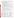Langelier Saturation Index. Only the direct measurements including pH, ORP, conductivity, free chlorine, monochloramine, free ammonia, calcium hardness, and total alkalinity results were verified during this test. The WP870 handheld system includes several features.

- Incorporates a single point calibration/QC check into every measurement;
- Calibrates all sensors via weekly two-point calibration;
- Transfer of results and sensor diagnostic and calibration information to computer via USB connection;
- Includes sample chain of custody information including time and date stamp, test location (including an optional GPS recording if desired) and a barcode recorder for identifying samples;
- Software is menu driven and requires little training;
- Powered by rechargeable battery;
- Is compatible with WaterNOW software which is an online and secure data service utilizing 128-bit data encryption that helps the users understand the data they have collected through unique visualization and comparison tools. It provides a means for the users to combine data from a variety of locations. Datasets from the WP870 analyzer can be uploaded through the internet or through email attachment. Subscriptions for the WaterNOW service start at \$400 per month;
- Has dimensions of approximately 16 centimeters (cm)  $\times$  22 cm and weighs 1.75 pounds;
- Completes full analysis within five minutes;
- One time cost of \$2,495 for the handheld unit, and \$295 for every additional sensor chip that is good for the analysis of 50 samples or for a duration of 30 days following the initial calibration, whichever comes first. New sensors include all necessary calibration solutions and sample buffers and conditioners required for the sample analyses. Note that each sample analysis provides results for all the above listed water quality parameters.

While not evaluated during this test, the WP870 has an Optical Module that includes the following capabilities:

- Turbidity measurements which meet US EPA Method 180.1
- 375 nm wavelength intrinsic color measurements following Standard Method 2120B
- Colorimetric measurements utilizing a red/green/blue light emitting diode and corresponding photodetectors to measure a variety of ampouled chemistries, including Total and Free Chlorine by Standard Method 4500 Cl-G.
- Total hardness ion selective electrode for the determination of hardness due to free calcium and magnesium.
- One time cost of \$2,995 for the optic-enabled handheld unit, with sensor kits for free and monochloramine which are good for 90 analyses or up to 60 days (\$295-\$495), and ion selective electrode sensor kits which are good for 90 tests and up to 60 days (\$225-\$410).

## **VERIFICATION RESULTS**

The below table summarizes the results from the ETV testing of the WP870. The range of accuracy results are given in percent difference (%D) along with summaries of other verified performance parameters which includes precision which was evaluated through a calculation of percent relative standard deviation (%RSD).

| <b>Water Quality</b><br>(WQ) Parameter | <b>Stage 1 WQ Levels</b><br>(test samples prepared<br>in DI water)                                                                 | <b>Stage 1 Accuracy -</b><br>%D from Ref. | <b>Stage 2 Accuracy -</b><br>%D from Ref.<br>(DW, IPW, and SW) |  |
|----------------------------------------|------------------------------------------------------------------------------------------------------------------------------------|-------------------------------------------|----------------------------------------------------------------|--|
| <b>Alkalinity</b>                      | 22, 130, and 240 mg/L CaCO <sub>3</sub>                                                                                            | $-20$ to 4.0                              | $-26.4$ to 8.0                                                 |  |
| Ammonia                                | $0.1, 0.8, 1.5$ mg/L                                                                                                               | $-23.8$ to 47.1                           | Ref. result below detection limit                              |  |
| Conductivity                           | 100, 1100, 1700 μS/cm                                                                                                              | $0.3$ to 5.7                              | $-0.9$ to 5.5                                                  |  |
| <b>Free Chlorine</b>                   | $0.2, 1.2, 2.2$ mg/L                                                                                                               | $-41.2$ to 26.8                           | $-32.2$ to $-12.7$                                             |  |
| <b>Hardness</b>                        | 17.5, 125, and 225 mg/L                                                                                                            | $-5.6$ to 9.3                             | $-17.4$ to 2.3                                                 |  |
| Monochloramine                         | $0.2, 1.2, 2.2$ mg/L                                                                                                               | 12.7 to 28.4                              | $\leq$ 0.22 mg/L from reference                                |  |
| <b>ORP</b>                             | 550 and 700 millivolts                                                                                                             | $-9.2$ to 1.6                             | $-5.7$ to 8.4 (DW)<br>$-78.5$ to $-28.5$ (SW and IPW)          |  |
| рH                                     | 5.4, 7, 10 pH units                                                                                                                | $-0.25$ to 0.21 (pH units)                | $-0.25$ to 0.25 (pH units)                                     |  |
| <b>Overall Precision</b>               | Excluding the monochloramine results for the DW, out of 216 triplicate measurements, $16(7.4\%)$<br>had %RSDs of greater than 10%. |                                           |                                                                |  |